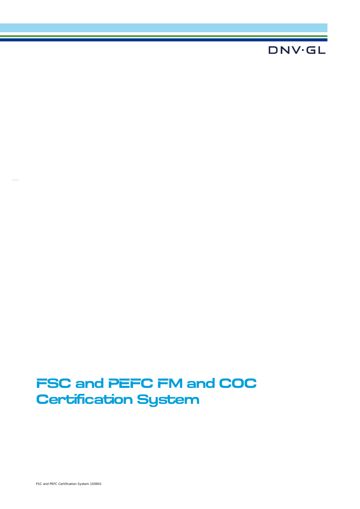## **DNV·GL**

# **FSC and PEFC FM and COC Certification System**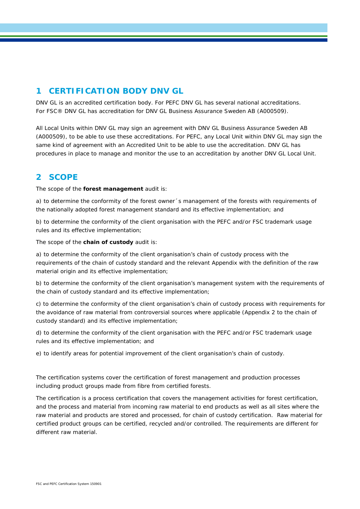## **1 CERTIFICATION BODY DNV GL**

DNV GL is an accredited certification body. For PEFC DNV GL has several national accreditations. For FSC® DNV GL has accreditation for DNV GL Business Assurance Sweden AB (A000509).

All Local Units within DNV GL may sign an agreement with DNV GL Business Assurance Sweden AB (A000509), to be able to use these accreditations. For PEFC, any Local Unit within DNV GL may sign the same kind of agreement with an Accredited Unit to be able to use the accreditation. DNV GL has procedures in place to manage and monitor the use to an accreditation by another DNV GL Local Unit.

## **2 SCOPE**

The scope of the **forest management** audit is:

a) to determine the conformity of the forest owner´s management of the forests with requirements of the nationally adopted forest management standard and its effective implementation; and

b) to determine the conformity of the client organisation with the PEFC and/or FSC trademark usage rules and its effective implementation;

The scope of the **chain of custody** audit is:

a) to determine the conformity of the client organisation's chain of custody process with the requirements of the chain of custody standard and the relevant Appendix with the definition of the raw material origin and its effective implementation;

b) to determine the conformity of the client organisation's management system with the requirements of the chain of custody standard and its effective implementation;

c) to determine the conformity of the client organisation's chain of custody process with requirements for the avoidance of raw material from controversial sources where applicable (Appendix 2 to the chain of custody standard) and its effective implementation;

d) to determine the conformity of the client organisation with the PEFC and/or FSC trademark usage rules and its effective implementation; and

e) to identify areas for potential improvement of the client organisation's chain of custody.

The certification systems cover the certification of forest management and production processes including product groups made from fibre from certified forests.

The certification is a process certification that covers the management activities for forest certification, and the process and material from incoming raw material to end products as well as all sites where the raw material and products are stored and processed, for chain of custody certification. Raw material for certified product groups can be certified, recycled and/or controlled. The requirements are different for different raw material.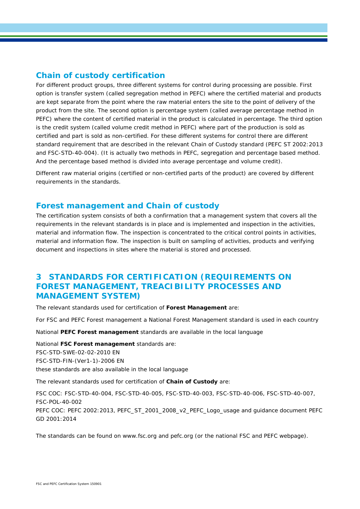### **Chain of custody certification**

For different product groups, three different systems for control during processing are possible. First option is transfer system (called segregation method in PEFC) where the certified material and products are kept separate from the point where the raw material enters the site to the point of delivery of the product from the site. The second option is percentage system (called average percentage method in PEFC) where the content of certified material in the product is calculated in percentage. The third option is the credit system (called volume credit method in PEFC) where part of the production is sold as certified and part is sold as non-certified. For these different systems for control there are different standard requirement that are described in the relevant Chain of Custody standard (PEFC ST 2002:2013 and FSC-STD-40-004). (It is actually two methods in PEFC, segregation and percentage based method. And the percentage based method is divided into average percentage and volume credit).

Different raw material origins (certified or non-certified parts of the product) are covered by different requirements in the standards.

#### **Forest management and Chain of custody**

The certification system consists of both a confirmation that a management system that covers all the requirements in the relevant standards is in place and is implemented and inspection in the activities, material and information flow. The inspection is concentrated to the critical control points in activities, material and information flow. The inspection is built on sampling of activities, products and verifying document and inspections in sites where the material is stored and processed.

## **3 STANDARDS FOR CERTIFICATION (REQUIREMENTS ON FOREST MANAGEMENT, TREACIBILITY PROCESSES AND MANAGEMENT SYSTEM)**

The relevant standards used for certification of **Forest Management** are:

For FSC and PEFC Forest management a National Forest Management standard is used in each country

National **PEFC Forest management** standards are available in the local language

National **FSC Forest management** standards are: FSC-STD-SWE-02-02-2010 EN FSC-STD-FIN-(Ver1-1)-2006 EN these standards are also available in the local language

The relevant standards used for certification of **Chain of Custody** are:

FSC COC: FSC-STD-40-004, FSC-STD-40-005, FSC-STD-40-003, FSC-STD-40-006, FSC-STD-40-007, FSC-POL-40-002 PEFC COC: PEFC 2002:2013, PEFC\_ST\_2001\_2008\_v2\_PEFC\_Logo\_usage and guidance document PEFC GD 2001:2014

The standards can be found on [www.fsc.org](http://www.fsc.org/) and pefc.org (or the national FSC and PEFC webpage).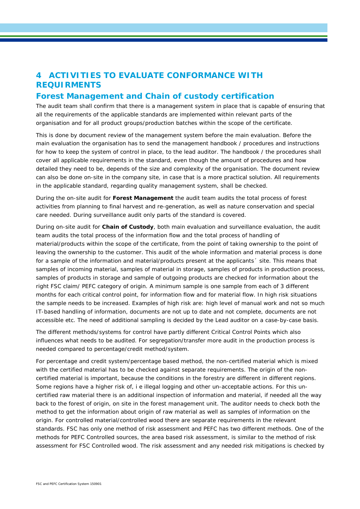## **4 ACTIVITIES TO EVALUATE CONFORMANCE WITH REQUIRMENTS**

#### **Forest Management and Chain of custody certification**

The audit team shall confirm that there is a management system in place that is capable of ensuring that all the requirements of the applicable standards are implemented within relevant parts of the organisation and for all product groups/production batches within the scope of the certificate.

This is done by document review of the management system before the main evaluation. Before the main evaluation the organisation has to send the management handbook / procedures and instructions for how to keep the system of control in place, to the lead auditor. The handbook / the procedures shall cover all applicable requirements in the standard, even though the amount of procedures and how detailed they need to be, depends of the size and complexity of the organisation. The document review can also be done on-site in the company site, in case that is a more practical solution. All requirements in the applicable standard, regarding quality management system, shall be checked.

During the on-site audit for **Forest Management** the audit team audits the total process of forest activities from planning to final harvest and re-generation, as well as nature conservation and special care needed. During surveillance audit only parts of the standard is covered.

During on-site audit for **Chain of Custody**, both main evaluation and surveillance evaluation, the audit team audits the total process of the information flow and the total process of handling of material/products within the scope of the certificate, from the point of taking ownership to the point of leaving the ownership to the customer. This audit of the whole information and material process is done for a sample of the information and material/products present at the applicants' site. This means that samples of incoming material, samples of material in storage, samples of products in production process, samples of products in storage and sample of outgoing products are checked for information about the right FSC claim/ PEFC category of origin. A minimum sample is one sample from each of 3 different months for each critical control point, for information flow and for material flow. In high risk situations the sample needs to be increased. Examples of high risk are: high level of manual work and not so much IT-based handling of information, documents are not up to date and not complete, documents are not accessible etc. The need of additional sampling is decided by the Lead auditor on a case-by-case basis.

The different methods/systems for control have partly different Critical Control Points which also influences what needs to be audited. For segregation/transfer more audit in the production process is needed compared to percentage/credit method/system.

For percentage and credit system/percentage based method, the non-certified material which is mixed with the certified material has to be checked against separate requirements. The origin of the noncertified material is important, because the conditions in the forestry are different in different regions. Some regions have a higher risk of, i e illegal logging and other un-acceptable actions. For this uncertified raw material there is an additional inspection of information and material, if needed all the way back to the forest of origin, on site in the forest management unit. The auditor needs to check both the method to get the information about origin of raw material as well as samples of information on the origin. For controlled material/controlled wood there are separate requirements in the relevant standards. FSC has only one method of risk assessment and PEFC has two different methods. One of the methods for PEFC Controlled sources, the area based risk assessment, is similar to the method of risk assessment for FSC Controlled wood. The risk assessment and any needed risk mitigations is checked by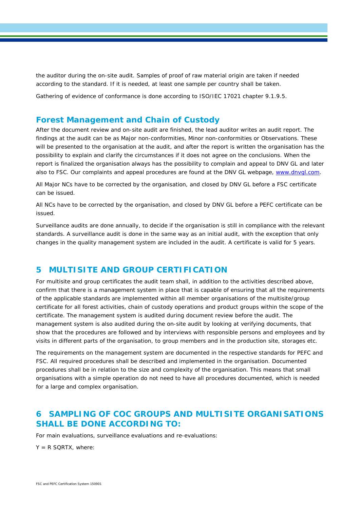the auditor during the on-site audit. Samples of proof of raw material origin are taken if needed according to the standard. If it is needed, at least one sample per country shall be taken.

Gathering of evidence of conformance is done according to ISO/IEC 17021 chapter 9.1.9.5.

#### **Forest Management and Chain of Custody**

After the document review and on-site audit are finished, the lead auditor writes an audit report. The findings at the audit can be as Major non-conformities, Minor non-conformities or Observations. These will be presented to the organisation at the audit, and after the report is written the organisation has the possibility to explain and clarify the circumstances if it does not agree on the conclusions. When the report is finalized the organisation always has the possibility to complain and appeal to DNV GL and later also to FSC. Our complaints and appeal procedures are found at the DNV GL webpage, [www.dnvgl.com.](http://www.dnvgl.com/)

All Major NCs have to be corrected by the organisation, and closed by DNV GL before a FSC certificate can be issued.

All NCs have to be corrected by the organisation, and closed by DNV GL before a PEFC certificate can be issued.

Surveillance audits are done annually, to decide if the organisation is still in compliance with the relevant standards. A surveillance audit is done in the same way as an initial audit, with the exception that only changes in the quality management system are included in the audit. A certificate is valid for 5 years.

#### **5 MULTISITE AND GROUP CERTIFICATION**

For multisite and group certificates the audit team shall, in addition to the activities described above, confirm that there is a management system in place that is capable of ensuring that all the requirements of the applicable standards are implemented within all member organisations of the multisite/group certificate for all forest activities, chain of custody operations and product groups within the scope of the certificate. The management system is audited during document review before the audit. The management system is also audited during the on-site audit by looking at verifying documents, that show that the procedures are followed and by interviews with responsible persons and employees and by visits in different parts of the organisation, to group members and in the production site, storages etc.

The requirements on the management system are documented in the respective standards for PEFC and FSC. All required procedures shall be described and implemented in the organisation. Documented procedures shall be in relation to the size and complexity of the organisation. This means that small organisations with a simple operation do not need to have all procedures documented, which is needed for a large and complex organisation.

## **6 SAMPLING OF COC GROUPS AND MULTISITE ORGANISATIONS SHALL BE DONE ACCORDING TO:**

For main evaluations, surveillance evaluations and re-evaluations:

 $Y = R$  SQRTX, where: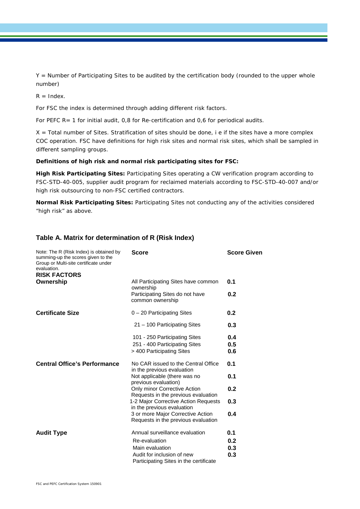Y = Number of Participating Sites to be audited by the certification body (rounded to the upper whole number)

 $R =$  Index.

For FSC the index is determined through adding different risk factors.

For PEFC  $R=1$  for initial audit, 0,8 for Re-certification and 0,6 for periodical audits.

X = Total number of Sites. Stratification of sites should be done, i e if the sites have a more complex COC operation. FSC have definitions for high risk sites and normal risk sites, which shall be sampled in different sampling groups.

#### **Definitions of high risk and normal risk participating sites for FSC:**

**High Risk Participating Sites:** Participating Sites operating a CW verification program according to FSC-STD-40-005, supplier audit program for reclaimed materials according to FSC-STD-40-007 and/or high risk outsourcing to non-FSC certified contractors.

**Normal Risk Participating Sites:** Participating Sites not conducting any of the activities considered "high risk" as above.

#### **Table A. Matrix for determination of R (Risk Index)**

| Note: The R (Risk Index) is obtained by<br>summing-up the scores given to the<br>Group or Multi-site certificate under<br>evaluation.<br><b>RISK FACTORS</b> | <b>Score</b>                                                                                | <b>Score Given</b> |
|--------------------------------------------------------------------------------------------------------------------------------------------------------------|---------------------------------------------------------------------------------------------|--------------------|
| Ownership                                                                                                                                                    | All Participating Sites have common                                                         | 0.1                |
|                                                                                                                                                              | ownership<br>Participating Sites do not have<br>common ownership                            | 0.2                |
| <b>Certificate Size</b>                                                                                                                                      | $0 - 20$ Participating Sites                                                                | 0.2                |
|                                                                                                                                                              | 21 – 100 Participating Sites                                                                | 0.3                |
|                                                                                                                                                              | 101 - 250 Participating Sites<br>251 - 400 Participating Sites<br>> 400 Participating Sites | 0.4<br>0.5<br>0.6  |
| <b>Central Office's Performance</b>                                                                                                                          | No CAR issued to the Central Office<br>in the previous evaluation                           | 0.1                |
|                                                                                                                                                              | Not applicable (there was no<br>previous evaluation)                                        | 0.1                |
|                                                                                                                                                              | Only minor Corrective Action<br>Requests in the previous evaluation                         | 0.2                |
|                                                                                                                                                              | 1-2 Major Corrective Action Requests<br>in the previous evaluation                          | 0.3                |
|                                                                                                                                                              | 3 or more Major Corrective Action<br>Requests in the previous evaluation                    | 0.4                |
| <b>Audit Type</b>                                                                                                                                            | Annual surveillance evaluation                                                              | 0.1                |
|                                                                                                                                                              | Re-evaluation                                                                               | 0.2                |
|                                                                                                                                                              | Main evaluation                                                                             | 0.3                |
|                                                                                                                                                              | Audit for inclusion of new<br>Participating Sites in the certificate                        | 0.3                |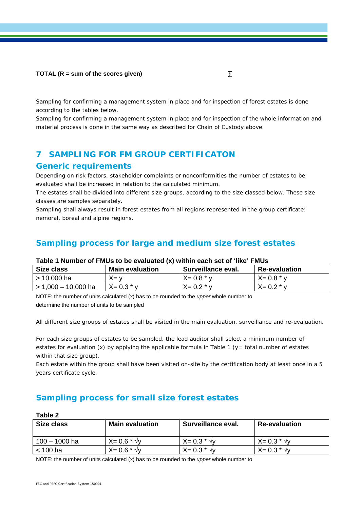#### **TOTAL (R = sum of the scores given)** ∑

Sampling for confirming a management system in place and for inspection of forest estates is done according to the tables below.

Sampling for confirming a management system in place and for inspection of the whole information and material process is done in the same way as described for Chain of Custody above.

## **7 SAMPLING FOR FM GROUP CERTIFICATON**

#### **Generic requirements**

Depending on risk factors, stakeholder complaints or nonconformities the number of estates to be evaluated shall be increased in relation to the calculated minimum.

The estates shall be divided into different size groups, according to the size classed below. These size classes are samples separately.

Sampling shall always result in forest estates from all regions represented in the group certificate: nemoral, boreal and alpine regions.

#### **Sampling process for large and medium size forest estates**

#### **Table 1 Number of FMUs to be evaluated (x) within each set of 'like' FMUs**

| Size class          | <b>Main evaluation</b> | Surveillance eval. | <b>Re-evaluation</b> |
|---------------------|------------------------|--------------------|----------------------|
| > 10,000 ha         | X= v                   | $X = 0.8 * v$      | $X = 0.8 * v$        |
| > 1,000 - 10,000 ha | X= 0.3 * v             | $X = 0.2 * v$      | $X = 0.2 * v$        |

NOTE: the number of units calculated (x) has to be rounded to the *upper* whole number to determine the number of units to be sampled

All different size groups of estates shall be visited in the main evaluation, surveillance and re-evaluation.

For each size groups of estates to be sampled, the lead auditor shall select a minimum number of estates for evaluation (x) by applying the applicable formula in Table 1 ( $y=$  total number of estates within that size group).

Each estate within the group shall have been visited on-site by the certification body at least once in a 5 years certificate cycle.

## **Sampling process for small size forest estates**

| Table 2         |                        |                      |                      |  |  |
|-----------------|------------------------|----------------------|----------------------|--|--|
| Size class      | <b>Main evaluation</b> | Surveillance eval.   | <b>Re-evaluation</b> |  |  |
| $100 - 1000$ ha | $X = 0.6 * \sqrt{v}$   | $X = 0.3 * \sqrt{v}$ | $X = 0.3 * \sqrt{v}$ |  |  |
| $<$ 100 ha      | $X = 0.6 * \sqrt{v}$   | $X = 0.3 * \sqrt{v}$ | $X = 0.3 * \sqrt{v}$ |  |  |

NOTE: the number of units calculated (x) has to be rounded to the *upper* whole number to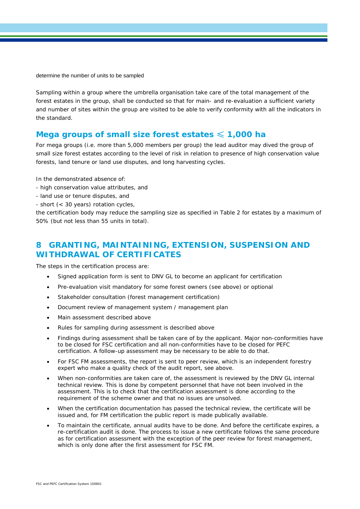determine the number of units to be sampled

Sampling within a group where the umbrella organisation take care of the total management of the forest estates in the group, shall be conducted so that for main- and re-evaluation a sufficient variety and number of sites within the group are visited to be able to verify conformity with all the indicators in the standard.

#### **Mega groups of small size forest estates** ≤ **1,000 ha**

For mega groups (i.e. more than 5,000 members per group) the lead auditor may dived the group of small size forest estates according to the level of risk in relation to presence of high conservation value forests, land tenure or land use disputes, and long harvesting cycles.

In the demonstrated absence of:

- high conservation value attributes, and
- land use or tenure disputes, and
- short (< 30 years) rotation cycles,

the certification body may reduce the sampling size as specified in Table 2 for estates by a maximum of 50% (but not less than 55 units in total).

## **8 GRANTING, MAINTAINING, EXTENSION, SUSPENSION AND WITHDRAWAL OF CERTIFICATES**

The steps in the certification process are:

- Signed application form is sent to DNV GL to become an applicant for certification
- Pre-evaluation visit mandatory for some forest owners (see above) or optional
- Stakeholder consultation (forest management certification)
- Document review of management system / management plan
- Main assessment described above
- Rules for sampling during assessment is described above
- Findings during assessment shall be taken care of by the applicant. Major non-conformities have to be closed for FSC certification and all non-conformities have to be closed for PEFC certification. A follow-up assessment may be necessary to be able to do that.
- For FSC FM assessments, the report is sent to peer review, which is an independent forestry expert who make a quality check of the audit report, see above.
- When non-conformities are taken care of, the assessment is reviewed by the DNV GL internal technical review. This is done by competent personnel that have not been involved in the assessment. This is to check that the certification assessment is done according to the requirement of the scheme owner and that no issues are unsolved.
- When the certification documentation has passed the technical review, the certificate will be issued and, for FM certification the public report is made publically available.
- To maintain the certificate, annual audits have to be done. And before the certificate expires, a re-certification audit is done. The process to issue a new certificate follows the same procedure as for certification assessment with the exception of the peer review for forest management, which is only done after the first assessment for FSC FM.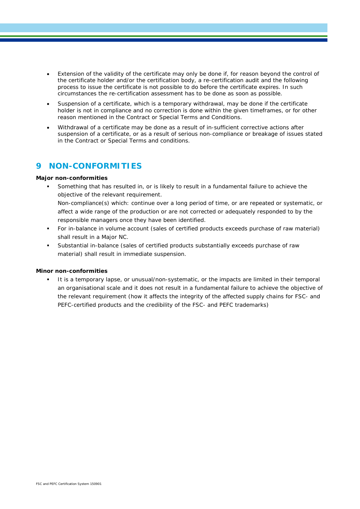- Extension of the validity of the certificate may only be done if, for reason beyond the control of the certificate holder and/or the certification body, a re-certification audit and the following process to issue the certificate is not possible to do before the certificate expires. In such circumstances the re-certification assessment has to be done as soon as possible.
- Suspension of a certificate, which is a temporary withdrawal, may be done if the certificate holder is not in compliance and no correction is done within the given timeframes, or for other reason mentioned in the Contract or Special Terms and Conditions.
- Withdrawal of a certificate may be done as a result of in-sufficient corrective actions after suspension of a certificate, or as a result of serious non-compliance or breakage of issues stated in the Contract or Special Terms and conditions.

#### **9 NON-CONFORMITIES**

#### **Major non-conformities**

- Something that has resulted in, or is likely to result in a fundamental failure to achieve the objective of the relevant requirement. Non-compliance(s) which: continue over a long period of time, or are repeated or systematic, or affect a wide range of the production or are not corrected or adequately responded to by the responsible managers once they have been identified.
- For in-balance in volume account (sales of certified products exceeds purchase of raw material) shall result in a Major NC.
- Substantial in-balance (sales of certified products substantially exceeds purchase of raw material) shall result in immediate suspension.

#### **Minor non-conformities**

 It is a temporary lapse, or unusual/non-systematic, or the impacts are limited in their temporal an organisational scale and it does not result in a fundamental failure to achieve the objective of the relevant requirement (how it affects the integrity of the affected supply chains for FSC- and PEFC-certified products and the credibility of the FSC- and PEFC trademarks)